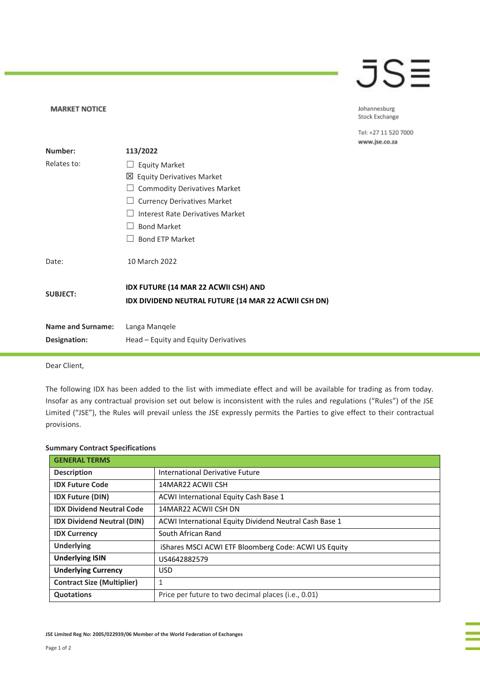## JS≣

Johannesburg Stock Exchange

Tel: +27 11 520 7000 www.jse.co.za

| Number:                  | 113/2022                                                                                     |
|--------------------------|----------------------------------------------------------------------------------------------|
| Relates to:              | <b>Equity Market</b>                                                                         |
|                          | ⊠ Equity Derivatives Market                                                                  |
|                          | <b>Commodity Derivatives Market</b>                                                          |
|                          | <b>Currency Derivatives Market</b>                                                           |
|                          | Interest Rate Derivatives Market                                                             |
|                          | <b>Bond Market</b>                                                                           |
|                          | <b>Bond ETP Market</b>                                                                       |
| Date:                    | 10 March 2022                                                                                |
| <b>SUBJECT:</b>          | IDX FUTURE (14 MAR 22 ACWII CSH) AND<br>IDX DIVIDEND NEUTRAL FUTURE (14 MAR 22 ACWII CSH DN) |
| <b>Name and Surname:</b> | Langa Mangele                                                                                |
| Designation:             | Head – Equity and Equity Derivatives                                                         |

Dear Client,

**MARKET NOTICE** 

The following IDX has been added to the list with immediate effect and will be available for trading as from today. Insofar as any contractual provision set out below is inconsistent with the rules and regulations ("Rules") of the JSE Limited ("JSE"), the Rules will prevail unless the JSE expressly permits the Parties to give effect to their contractual provisions.

| <b>GENERAL TERMS</b>              |                                                        |
|-----------------------------------|--------------------------------------------------------|
| <b>Description</b>                | International Derivative Future                        |
| <b>IDX Future Code</b>            | 14MAR22 ACWII CSH                                      |
| <b>IDX Future (DIN)</b>           | ACWI International Equity Cash Base 1                  |
| <b>IDX Dividend Neutral Code</b>  | 14MAR22 ACWII CSH DN                                   |
| <b>IDX Dividend Neutral (DIN)</b> | ACWI International Equity Dividend Neutral Cash Base 1 |
| <b>IDX Currency</b>               | South African Rand                                     |
| <b>Underlying</b>                 | iShares MSCI ACWI ETF Bloomberg Code: ACWI US Equity   |
| <b>Underlying ISIN</b>            | US4642882579                                           |
| <b>Underlying Currency</b>        | <b>USD</b>                                             |
| <b>Contract Size (Multiplier)</b> | 1                                                      |
| <b>Quotations</b>                 | Price per future to two decimal places (i.e., 0.01)    |

## **Summary Contract Specifications**